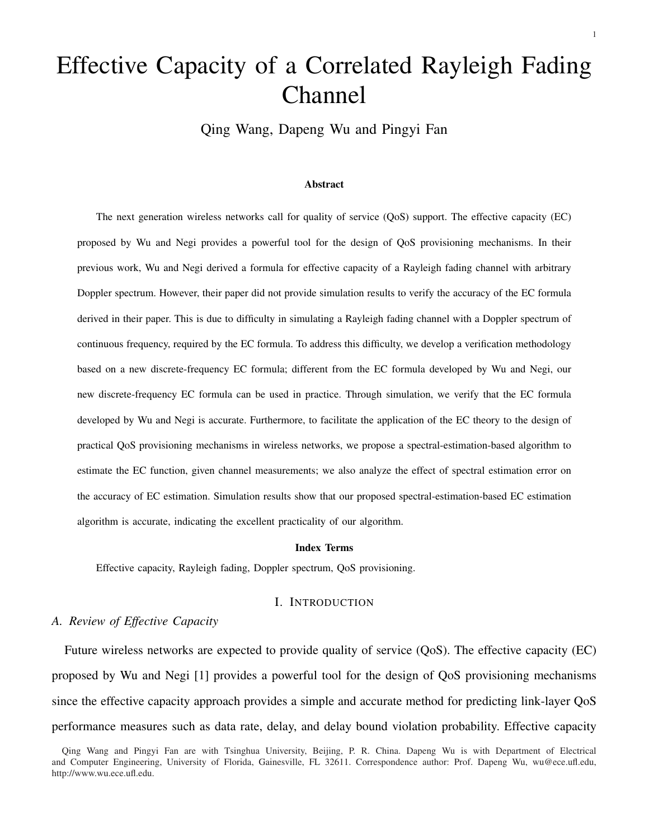# Effective Capacity of a Correlated Rayleigh Fading Channel

Qing Wang, Dapeng Wu and Pingyi Fan

#### Abstract

The next generation wireless networks call for quality of service (QoS) support. The effective capacity (EC) proposed by Wu and Negi provides a powerful tool for the design of QoS provisioning mechanisms. In their previous work, Wu and Negi derived a formula for effective capacity of a Rayleigh fading channel with arbitrary Doppler spectrum. However, their paper did not provide simulation results to verify the accuracy of the EC formula derived in their paper. This is due to difficulty in simulating a Rayleigh fading channel with a Doppler spectrum of continuous frequency, required by the EC formula. To address this difficulty, we develop a verification methodology based on a new discrete-frequency EC formula; different from the EC formula developed by Wu and Negi, our new discrete-frequency EC formula can be used in practice. Through simulation, we verify that the EC formula developed by Wu and Negi is accurate. Furthermore, to facilitate the application of the EC theory to the design of practical QoS provisioning mechanisms in wireless networks, we propose a spectral-estimation-based algorithm to estimate the EC function, given channel measurements; we also analyze the effect of spectral estimation error on the accuracy of EC estimation. Simulation results show that our proposed spectral-estimation-based EC estimation algorithm is accurate, indicating the excellent practicality of our algorithm.

### Index Terms

Effective capacity, Rayleigh fading, Doppler spectrum, QoS provisioning.

#### I. INTRODUCTION

## *A. Review of Effective Capacity*

Future wireless networks are expected to provide quality of service (QoS). The effective capacity (EC) proposed by Wu and Negi [1] provides a powerful tool for the design of QoS provisioning mechanisms since the effective capacity approach provides a simple and accurate method for predicting link-layer QoS performance measures such as data rate, delay, and delay bound violation probability. Effective capacity

Qing Wang and Pingyi Fan are with Tsinghua University, Beijing, P. R. China. Dapeng Wu is with Department of Electrical and Computer Engineering, University of Florida, Gainesville, FL 32611. Correspondence author: Prof. Dapeng Wu, wu@ece.ufl.edu, http://www.wu.ece.ufl.edu.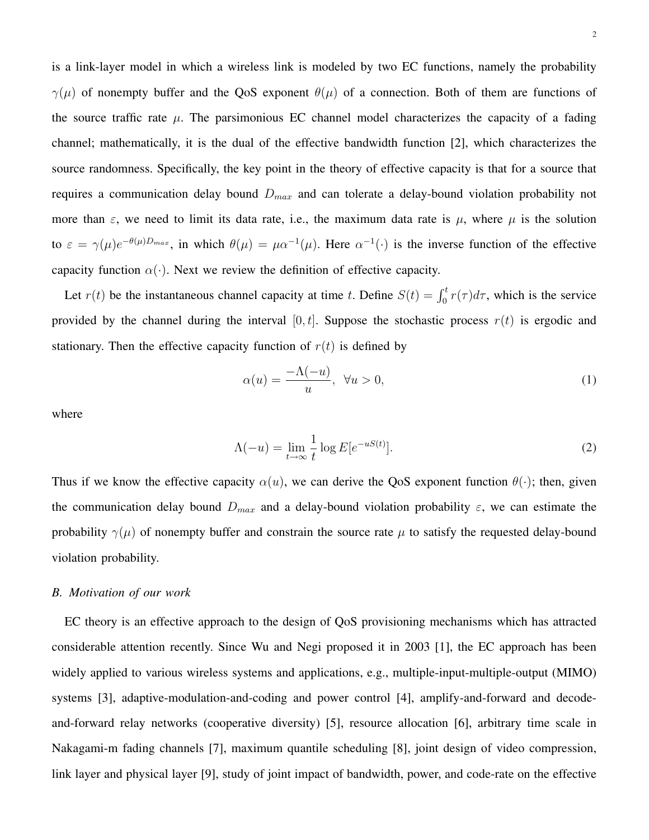is a link-layer model in which a wireless link is modeled by two EC functions, namely the probability  $\gamma(\mu)$  of nonempty buffer and the QoS exponent  $\theta(\mu)$  of a connection. Both of them are functions of the source traffic rate  $\mu$ . The parsimonious EC channel model characterizes the capacity of a fading channel; mathematically, it is the dual of the effective bandwidth function [2], which characterizes the source randomness. Specifically, the key point in the theory of effective capacity is that for a source that requires a communication delay bound  $D_{max}$  and can tolerate a delay-bound violation probability not more than  $\varepsilon$ , we need to limit its data rate, i.e., the maximum data rate is  $\mu$ , where  $\mu$  is the solution to  $\varepsilon = \gamma(\mu) e^{-\theta(\mu)D_{max}}$ , in which  $\theta(\mu) = \mu \alpha^{-1}(\mu)$ . Here  $\alpha^{-1}(\cdot)$  is the inverse function of the effective capacity function  $\alpha(\cdot)$ . Next we review the definition of effective capacity.

Let  $r(t)$  be the instantaneous channel capacity at time t. Define  $S(t) = \int_0^t r(\tau) d\tau$ , which is the service provided by the channel during the interval  $[0, t]$ . Suppose the stochastic process  $r(t)$  is ergodic and stationary. Then the effective capacity function of  $r(t)$  is defined by

$$
\alpha(u) = \frac{-\Lambda(-u)}{u}, \ \forall u > 0,\tag{1}
$$

where

$$
\Lambda(-u) = \lim_{t \to \infty} \frac{1}{t} \log E[e^{-uS(t)}].
$$
\n(2)

Thus if we know the effective capacity  $\alpha(u)$ , we can derive the QoS exponent function  $\theta(\cdot)$ ; then, given the communication delay bound  $D_{max}$  and a delay-bound violation probability  $\varepsilon$ , we can estimate the probability  $\gamma(\mu)$  of nonempty buffer and constrain the source rate  $\mu$  to satisfy the requested delay-bound violation probability.

# *B. Motivation of our work*

EC theory is an effective approach to the design of QoS provisioning mechanisms which has attracted considerable attention recently. Since Wu and Negi proposed it in 2003 [1], the EC approach has been widely applied to various wireless systems and applications, e.g., multiple-input-multiple-output (MIMO) systems [3], adaptive-modulation-and-coding and power control [4], amplify-and-forward and decodeand-forward relay networks (cooperative diversity) [5], resource allocation [6], arbitrary time scale in Nakagami-m fading channels [7], maximum quantile scheduling [8], joint design of video compression, link layer and physical layer [9], study of joint impact of bandwidth, power, and code-rate on the effective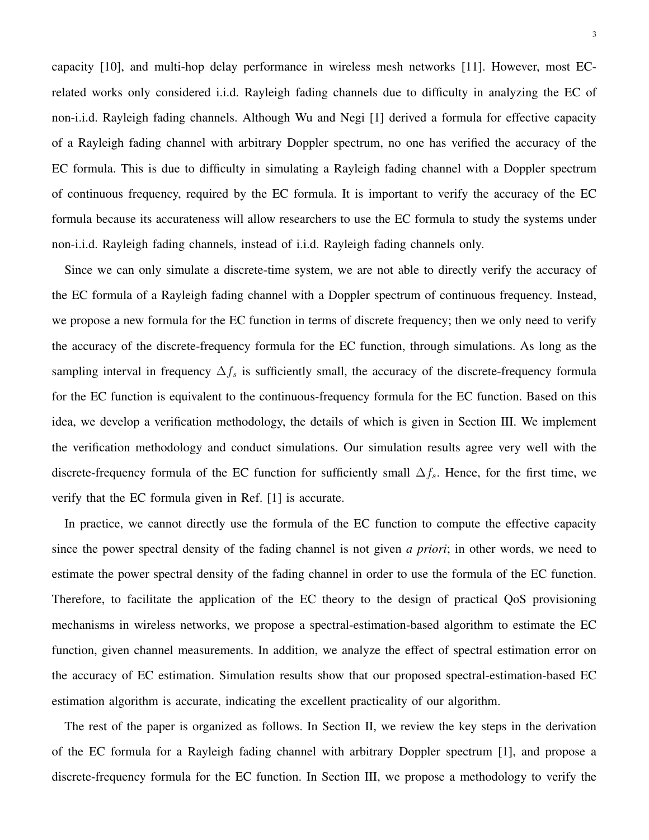capacity [10], and multi-hop delay performance in wireless mesh networks [11]. However, most ECrelated works only considered i.i.d. Rayleigh fading channels due to difficulty in analyzing the EC of non-i.i.d. Rayleigh fading channels. Although Wu and Negi [1] derived a formula for effective capacity of a Rayleigh fading channel with arbitrary Doppler spectrum, no one has verified the accuracy of the EC formula. This is due to difficulty in simulating a Rayleigh fading channel with a Doppler spectrum of continuous frequency, required by the EC formula. It is important to verify the accuracy of the EC formula because its accurateness will allow researchers to use the EC formula to study the systems under non-i.i.d. Rayleigh fading channels, instead of i.i.d. Rayleigh fading channels only.

Since we can only simulate a discrete-time system, we are not able to directly verify the accuracy of the EC formula of a Rayleigh fading channel with a Doppler spectrum of continuous frequency. Instead, we propose a new formula for the EC function in terms of discrete frequency; then we only need to verify the accuracy of the discrete-frequency formula for the EC function, through simulations. As long as the sampling interval in frequency  $\Delta f_s$  is sufficiently small, the accuracy of the discrete-frequency formula for the EC function is equivalent to the continuous-frequency formula for the EC function. Based on this idea, we develop a verification methodology, the details of which is given in Section III. We implement the verification methodology and conduct simulations. Our simulation results agree very well with the discrete-frequency formula of the EC function for sufficiently small  $\Delta f_s$ . Hence, for the first time, we verify that the EC formula given in Ref. [1] is accurate.

In practice, we cannot directly use the formula of the EC function to compute the effective capacity since the power spectral density of the fading channel is not given *a priori*; in other words, we need to estimate the power spectral density of the fading channel in order to use the formula of the EC function. Therefore, to facilitate the application of the EC theory to the design of practical QoS provisioning mechanisms in wireless networks, we propose a spectral-estimation-based algorithm to estimate the EC function, given channel measurements. In addition, we analyze the effect of spectral estimation error on the accuracy of EC estimation. Simulation results show that our proposed spectral-estimation-based EC estimation algorithm is accurate, indicating the excellent practicality of our algorithm.

The rest of the paper is organized as follows. In Section II, we review the key steps in the derivation of the EC formula for a Rayleigh fading channel with arbitrary Doppler spectrum [1], and propose a discrete-frequency formula for the EC function. In Section III, we propose a methodology to verify the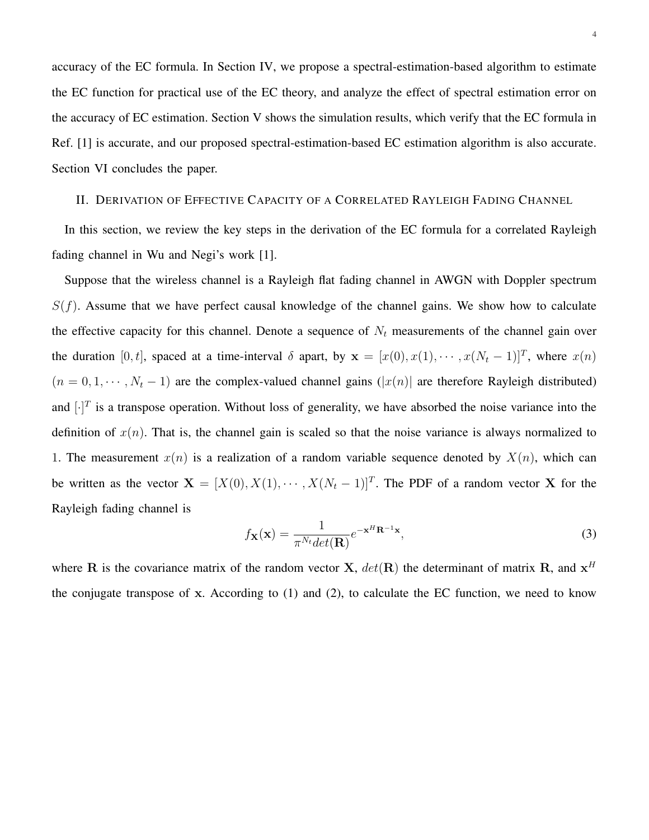accuracy of the EC formula. In Section IV, we propose a spectral-estimation-based algorithm to estimate the EC function for practical use of the EC theory, and analyze the effect of spectral estimation error on the accuracy of EC estimation. Section V shows the simulation results, which verify that the EC formula in Ref. [1] is accurate, and our proposed spectral-estimation-based EC estimation algorithm is also accurate. Section VI concludes the paper.

# II. DERIVATION OF EFFECTIVE CAPACITY OF A CORRELATED RAYLEIGH FADING CHANNEL

In this section, we review the key steps in the derivation of the EC formula for a correlated Rayleigh fading channel in Wu and Negi's work [1].

Suppose that the wireless channel is a Rayleigh flat fading channel in AWGN with Doppler spectrum  $S(f)$ . Assume that we have perfect causal knowledge of the channel gains. We show how to calculate the effective capacity for this channel. Denote a sequence of  $N_t$  measurements of the channel gain over the duration [0, t], spaced at a time-interval  $\delta$  apart, by  $\mathbf{x} = [x(0), x(1), \dots, x(N_t - 1)]^T$ , where  $x(n)$  $(n = 0, 1, \dots, N_t - 1)$  are the complex-valued channel gains  $(|x(n)|)$  are therefore Rayleigh distributed) and  $[\cdot]^T$  is a transpose operation. Without loss of generality, we have absorbed the noise variance into the definition of  $x(n)$ . That is, the channel gain is scaled so that the noise variance is always normalized to 1. The measurement  $x(n)$  is a realization of a random variable sequence denoted by  $X(n)$ , which can be written as the vector  $X = [X(0), X(1), \cdots, X(N_t-1)]^T$ . The PDF of a random vector X for the Rayleigh fading channel is

$$
f_{\mathbf{X}}(\mathbf{x}) = \frac{1}{\pi^{N_t} det(\mathbf{R})} e^{-\mathbf{x}^H \mathbf{R}^{-1} \mathbf{x}},
$$
\n(3)

where R is the covariance matrix of the random vector X,  $det(R)$  the determinant of matrix R, and  $x<sup>H</sup>$ the conjugate transpose of x. According to (1) and (2), to calculate the EC function, we need to know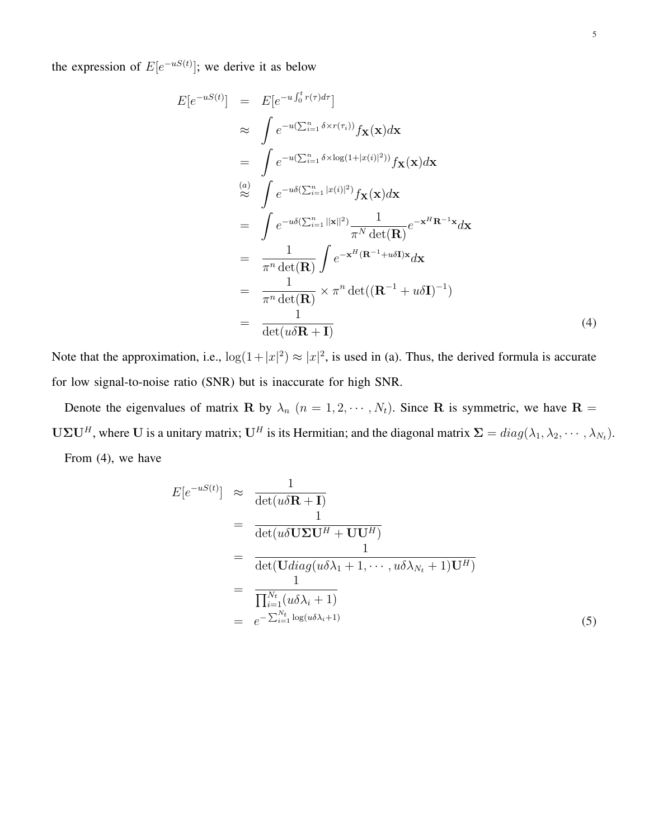the expression of  $E[e^{-uS(t)}]$ ; we derive it as below

$$
E[e^{-uS(t)}] = E[e^{-u\int_0^t r(\tau)d\tau}]
$$
  
\n
$$
\approx \int e^{-u(\sum_{i=1}^n \delta \times r(\tau_i))} f_{\mathbf{X}}(\mathbf{x}) d\mathbf{x}
$$
  
\n
$$
= \int e^{-u(\sum_{i=1}^n \delta \times \log(1+|x(i)|^2))} f_{\mathbf{X}}(\mathbf{x}) d\mathbf{x}
$$
  
\n
$$
\approx \int e^{-u\delta(\sum_{i=1}^n |x(i)|^2)} f_{\mathbf{X}}(\mathbf{x}) d\mathbf{x}
$$
  
\n
$$
= \int e^{-u\delta(\sum_{i=1}^n ||\mathbf{x}||^2)} \frac{1}{\pi^N \det(\mathbf{R})} e^{-\mathbf{x}^H \mathbf{R}^{-1} \mathbf{x}} d\mathbf{x}
$$
  
\n
$$
= \frac{1}{\pi^n \det(\mathbf{R})} \int e^{-\mathbf{x}^H (\mathbf{R}^{-1} + u\delta \mathbf{I}) \mathbf{x}} d\mathbf{x}
$$
  
\n
$$
= \frac{1}{\pi^n \det(\mathbf{R})} \times \pi^n \det((\mathbf{R}^{-1} + u\delta \mathbf{I})^{-1})
$$
  
\n
$$
= \frac{1}{\det(u\delta \mathbf{R} + \mathbf{I})}
$$
  
\n(4)

Note that the approximation, i.e.,  $\log(1+|x|^2) \approx |x|^2$ , is used in (a). Thus, the derived formula is accurate for low signal-to-noise ratio (SNR) but is inaccurate for high SNR.

Denote the eigenvalues of matrix R by  $\lambda_n$   $(n = 1, 2, \dots, N_t)$ . Since R is symmetric, we have R =  $U\Sigma U^H$ , where U is a unitary matrix;  $U^H$  is its Hermitian; and the diagonal matrix  $\Sigma = diag(\lambda_1, \lambda_2, \cdots, \lambda_{N_t})$ . From (4), we have

$$
E[e^{-uS(t)}] \approx \frac{1}{\det(u\delta \mathbf{R} + \mathbf{I})}
$$
  
= 
$$
\frac{1}{\det(u\delta \mathbf{U}\Sigma \mathbf{U}^H + \mathbf{U}\mathbf{U}^H)}
$$
  
= 
$$
\frac{1}{\det(\mathbf{U}diag(u\delta\lambda_1 + 1, \cdots, u\delta\lambda_{N_t} + 1)\mathbf{U}^H)}
$$
  
= 
$$
\frac{1}{\prod_{i=1}^{N_t}(u\delta\lambda_i + 1)}
$$
  
= 
$$
e^{-\sum_{i=1}^{N_t} \log(u\delta\lambda_i + 1)}
$$
(5)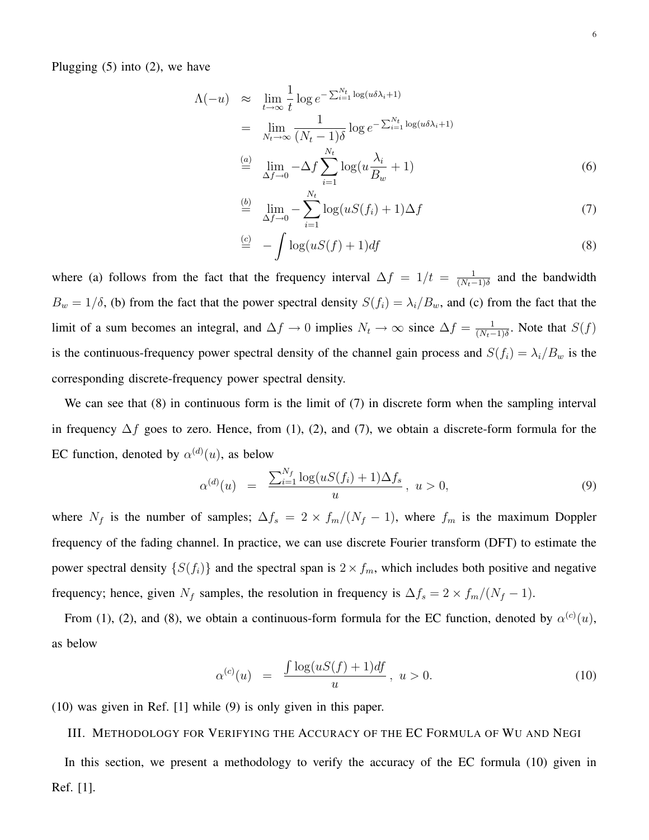Plugging  $(5)$  into  $(2)$ , we have

$$
\Lambda(-u) \approx \lim_{t \to \infty} \frac{1}{t} \log e^{-\sum_{i=1}^{N_t} \log(u\delta \lambda_i + 1)}
$$
  
\n
$$
= \lim_{N_t \to \infty} \frac{1}{(N_t - 1)\delta} \log e^{-\sum_{i=1}^{N_t} \log(u\delta \lambda_i + 1)}
$$
  
\n
$$
\stackrel{(a)}{=} \lim_{\Delta f \to 0} -\Delta f \sum_{i=1}^{N_t} \log(u\frac{\lambda_i}{B_w} + 1)
$$
 (6)

$$
\stackrel{(b)}{=} \lim_{\Delta f \to 0} -\sum_{i=1}^{N_t} \log(uS(f_i) + 1)\Delta f \tag{7}
$$

$$
\stackrel{(c)}{=} -\int \log(uS(f) + 1)df \tag{8}
$$

where (a) follows from the fact that the frequency interval  $\Delta f = 1/t = \frac{1}{\sqrt{N-1}}$  $\frac{1}{(N_t-1)\delta}$  and the bandwidth  $B_w = 1/\delta$ , (b) from the fact that the power spectral density  $S(f_i) = \lambda_i/B_w$ , and (c) from the fact that the limit of a sum becomes an integral, and  $\Delta f \to 0$  implies  $N_t \to \infty$  since  $\Delta f = \frac{1}{(N_t - 1)^2}$  $\frac{1}{(N_t-1)\delta}$ . Note that  $S(f)$ is the continuous-frequency power spectral density of the channel gain process and  $S(f_i) = \lambda_i/B_w$  is the corresponding discrete-frequency power spectral density.

We can see that (8) in continuous form is the limit of (7) in discrete form when the sampling interval in frequency  $\Delta f$  goes to zero. Hence, from (1), (2), and (7), we obtain a discrete-form formula for the EC function, denoted by  $\alpha^{(d)}(u)$ , as below

$$
\alpha^{(d)}(u) = \frac{\sum_{i=1}^{N_f} \log(uS(f_i) + 1)\Delta f_s}{u}, \ u > 0,
$$
\n(9)

where  $N_f$  is the number of samples;  $\Delta f_s = 2 \times f_m/(N_f - 1)$ , where  $f_m$  is the maximum Doppler frequency of the fading channel. In practice, we can use discrete Fourier transform (DFT) to estimate the power spectral density  $\{S(f_i)\}\$ and the spectral span is  $2 \times f_m$ , which includes both positive and negative frequency; hence, given  $N_f$  samples, the resolution in frequency is  $\Delta f_s = 2 \times f_m/(N_f - 1)$ .

From (1), (2), and (8), we obtain a continuous-form formula for the EC function, denoted by  $\alpha^{(c)}(u)$ , as below

$$
\alpha^{(c)}(u) = \frac{\int \log(uS(f) + 1)df}{u}, \ u > 0.
$$
\n(10)

(10) was given in Ref. [1] while (9) is only given in this paper.

III. METHODOLOGY FOR VERIFYING THE ACCURACY OF THE EC FORMULA OF WU AND NEGI

In this section, we present a methodology to verify the accuracy of the EC formula (10) given in Ref. [1].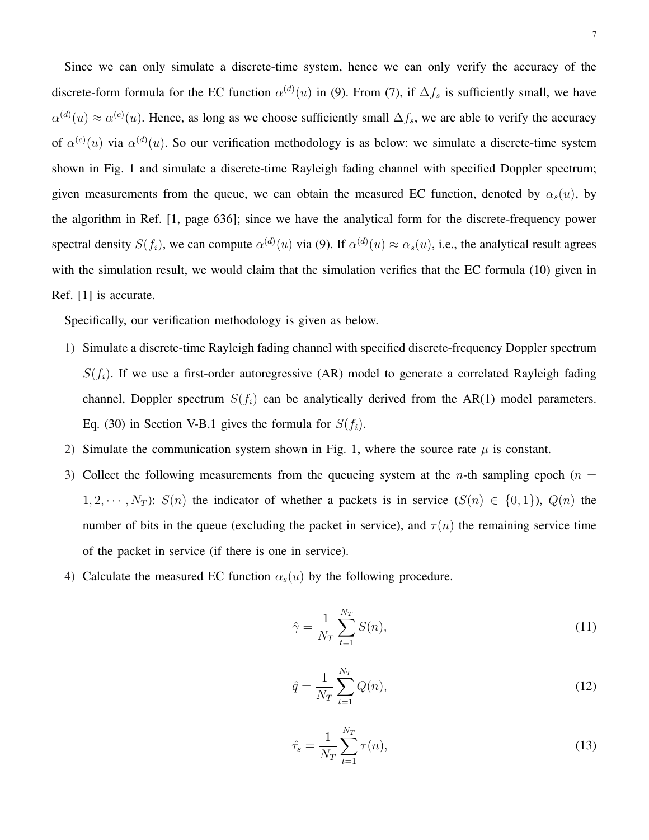Since we can only simulate a discrete-time system, hence we can only verify the accuracy of the discrete-form formula for the EC function  $\alpha^{(d)}(u)$  in (9). From (7), if  $\Delta f_s$  is sufficiently small, we have  $\alpha^{(d)}(u) \approx \alpha^{(c)}(u)$ . Hence, as long as we choose sufficiently small  $\Delta f_s$ , we are able to verify the accuracy of  $\alpha^{(c)}(u)$  via  $\alpha^{(d)}(u)$ . So our verification methodology is as below: we simulate a discrete-time system shown in Fig. 1 and simulate a discrete-time Rayleigh fading channel with specified Doppler spectrum; given measurements from the queue, we can obtain the measured EC function, denoted by  $\alpha_s(u)$ , by the algorithm in Ref. [1, page 636]; since we have the analytical form for the discrete-frequency power spectral density  $S(f_i)$ , we can compute  $\alpha^{(d)}(u)$  via (9). If  $\alpha^{(d)}(u) \approx \alpha_s(u)$ , i.e., the analytical result agrees with the simulation result, we would claim that the simulation verifies that the EC formula (10) given in Ref. [1] is accurate.

Specifically, our verification methodology is given as below.

- 1) Simulate a discrete-time Rayleigh fading channel with specified discrete-frequency Doppler spectrum  $S(f_i)$ . If we use a first-order autoregressive (AR) model to generate a correlated Rayleigh fading channel, Doppler spectrum  $S(f_i)$  can be analytically derived from the AR(1) model parameters. Eq. (30) in Section V-B.1 gives the formula for  $S(f_i)$ .
- 2) Simulate the communication system shown in Fig. 1, where the source rate  $\mu$  is constant.
- 3) Collect the following measurements from the queueing system at the *n*-th sampling epoch ( $n =$  $1, 2, \cdots, N_T$ :  $S(n)$  the indicator of whether a packets is in service  $(S(n) \in \{0, 1\})$ ,  $Q(n)$  the number of bits in the queue (excluding the packet in service), and  $\tau(n)$  the remaining service time of the packet in service (if there is one in service).
- 4) Calculate the measured EC function  $\alpha_s(u)$  by the following procedure.

$$
\hat{\gamma} = \frac{1}{N_T} \sum_{t=1}^{N_T} S(n),\tag{11}
$$

$$
\hat{q} = \frac{1}{N_T} \sum_{t=1}^{N_T} Q(n),\tag{12}
$$

$$
\hat{\tau}_s = \frac{1}{N_T} \sum_{t=1}^{N_T} \tau(n),
$$
\n(13)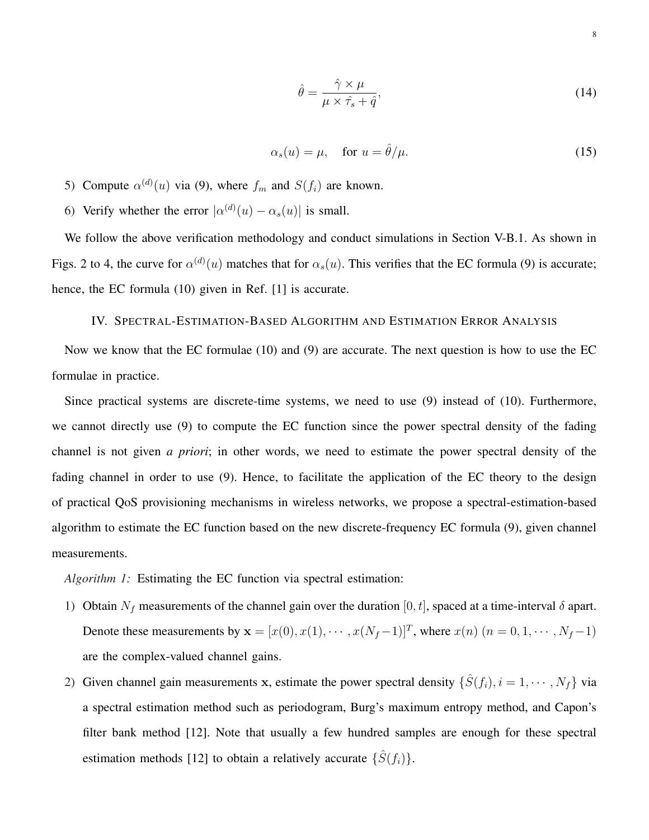$$
\hat{\theta} = \frac{\hat{\gamma} \times \mu}{\mu \times \hat{\tau}_s + \hat{q}},\tag{14}
$$

$$
\alpha_s(u) = \mu, \quad \text{for } u = \hat{\theta}/\mu. \tag{15}
$$

- 5) Compute  $\alpha^{(d)}(u)$  via (9), where  $f_m$  and  $S(f_i)$  are known.
- 6) Verify whether the error  $|\alpha^{(d)}(u) \alpha_s(u)|$  is small.

We follow the above verification methodology and conduct simulations in Section V-B.1. As shown in Figs. 2 to 4, the curve for  $\alpha^{(d)}(u)$  matches that for  $\alpha_s(u)$ . This verifies that the EC formula (9) is accurate; hence, the EC formula (10) given in Ref. [1] is accurate.

# IV. SPECTRAL-ESTIMATION-BASED ALGORITHM AND ESTIMATION ERROR ANALYSIS

Now we know that the EC formulae (10) and (9) are accurate. The next question is how to use the EC formulae in practice.

Since practical systems are discrete-time systems, we need to use (9) instead of (10). Furthermore, we cannot directly use (9) to compute the EC function since the power spectral density of the fading channel is not given *a priori*; in other words, we need to estimate the power spectral density of the fading channel in order to use (9). Hence, to facilitate the application of the EC theory to the design of practical QoS provisioning mechanisms in wireless networks, we propose a spectral-estimation-based algorithm to estimate the EC function based on the new discrete-frequency EC formula (9), given channel measurements.

*Algorithm 1:* Estimating the EC function via spectral estimation:

- 1) Obtain  $N_f$  measurements of the channel gain over the duration [0, t], spaced at a time-interval  $\delta$  apart. Denote these measurements by  $\mathbf{x} = [x(0), x(1), \dots, x(N_f-1)]^T$ , where  $x(n)$   $(n = 0, 1, \dots, N_f-1)$ are the complex-valued channel gains.
- 2) Given channel gain measurements x, estimate the power spectral density  $\{\hat{S}(f_i), i = 1, \dots, N_f\}$  via a spectral estimation method such as periodogram, Burg's maximum entropy method, and Capon's filter bank method [12]. Note that usually a few hundred samples are enough for these spectral estimation methods [12] to obtain a relatively accurate  $\{\hat{S}(f_i)\}.$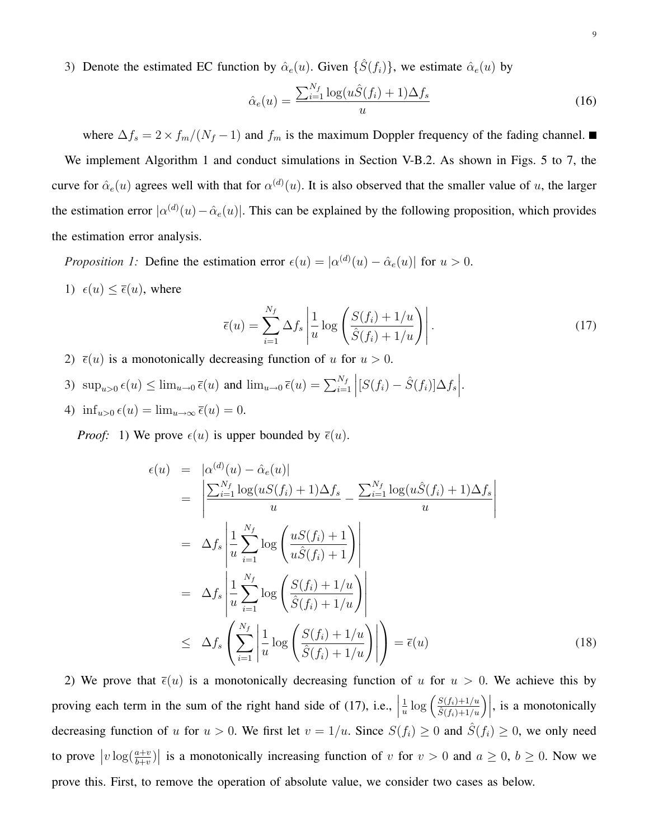3) Denote the estimated EC function by  $\hat{\alpha}_e(u)$ . Given  $\{\hat{S}(f_i)\}\)$ , we estimate  $\hat{\alpha}_e(u)$  by

$$
\hat{\alpha}_e(u) = \frac{\sum_{i=1}^{N_f} \log(u\hat{S}(f_i) + 1)\Delta f_s}{u}
$$
\n(16)

where  $\Delta f_s = 2 \times f_m/(N_f - 1)$  and  $f_m$  is the maximum Doppler frequency of the fading channel. ■ We implement Algorithm 1 and conduct simulations in Section V-B.2. As shown in Figs. 5 to 7, the curve for  $\hat{\alpha}_e(u)$  agrees well with that for  $\alpha^{(d)}(u)$ . It is also observed that the smaller value of u, the larger the estimation error  $|\alpha^{(d)}(u) - \hat{\alpha}_e(u)|$ . This can be explained by the following proposition, which provides the estimation error analysis.

*Proposition 1:* Define the estimation error  $\epsilon(u) = |\alpha^{(d)}(u) - \hat{\alpha}_e(u)|$  for  $u > 0$ .

1)  $\epsilon(u) \leq \overline{\epsilon}(u)$ , where

$$
\overline{\epsilon}(u) = \sum_{i=1}^{N_f} \Delta f_s \left| \frac{1}{u} \log \left( \frac{S(f_i) + 1/u}{\hat{S}(f_i) + 1/u} \right) \right|.
$$
\n(17)

- 2)  $\bar{\epsilon}(u)$  is a monotonically decreasing function of u for  $u > 0$ .
- 3)  $\sup_{u>0} \epsilon(u) \leq \lim_{u\to 0} \overline{\epsilon}(u)$  and  $\lim_{u\to 0} \overline{\epsilon}(u) = \sum_{i=1}^{N_f}$  $\Big| [S(f_i) - \hat{S}(f_i)] \Delta f_s$  $\vert$ .
- 4)  $\inf_{u>0} \epsilon(u) = \lim_{u\to\infty} \overline{\epsilon}(u) = 0.$

*Proof:* 1) We prove  $\epsilon(u)$  is upper bounded by  $\bar{\epsilon}(u)$ .

$$
\epsilon(u) = |\alpha^{(d)}(u) - \hat{\alpha}_e(u)|
$$
\n
$$
= \left| \frac{\sum_{i=1}^{N_f} \log(uS(f_i) + 1)\Delta f_s}{u} - \frac{\sum_{i=1}^{N_f} \log(u\hat{S}(f_i) + 1)\Delta f_s}{u} \right|
$$
\n
$$
= \Delta f_s \left| \frac{1}{u} \sum_{i=1}^{N_f} \log \left( \frac{uS(f_i) + 1}{u\hat{S}(f_i) + 1} \right) \right|
$$
\n
$$
= \Delta f_s \left| \frac{1}{u} \sum_{i=1}^{N_f} \log \left( \frac{S(f_i) + 1/u}{\hat{S}(f_i) + 1/u} \right) \right|
$$
\n
$$
\leq \Delta f_s \left( \sum_{i=1}^{N_f} \left| \frac{1}{u} \log \left( \frac{S(f_i) + 1/u}{\hat{S}(f_i) + 1/u} \right) \right| \right) = \bar{\epsilon}(u)
$$
\n(18)

2) We prove that  $\bar{\epsilon}(u)$  is a monotonically decreasing function of u for  $u > 0$ . We achieve this by proving each term in the sum of the right hand side of (17), i.e.,  $\frac{1}{u}$  $\frac{1}{u} \log \left( \frac{S(f_i)+1/u}{\hat{S}(f_i)+1/u} \right)$  $\left. \frac{S(f_i)+1/u}{\hat{S}(f_i)+1/u} \right) \right|$ , is a monotonically decreasing function of u for  $u > 0$ . We first let  $v = 1/u$ . Since  $S(f_i) \ge 0$  and  $\hat{S}(f_i) \ge 0$ , we only need to prove  $\big|v\log(\frac{a+v}{b+v})\big|$ | is a monotonically increasing function of v for  $v > 0$  and  $a \ge 0$ ,  $b \ge 0$ . Now we prove this. First, to remove the operation of absolute value, we consider two cases as below.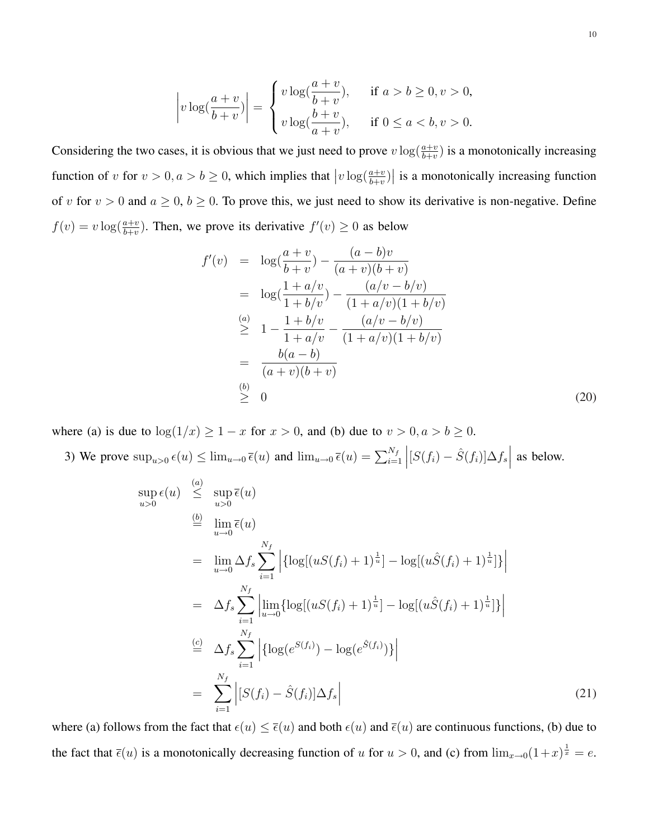$$
\left|v\log\left(\frac{a+v}{b+v}\right)\right| = \begin{cases} v\log\left(\frac{a+v}{b+v}\right), & \text{if } a > b \ge 0, v > 0, \\ v\log\left(\frac{b+v}{a+v}\right), & \text{if } 0 \le a < b, v > 0. \end{cases}
$$

Considering the two cases, it is obvious that we just need to prove  $v \log(\frac{a+v}{b+v})$  is a monotonically increasing function of v for  $v > 0, a > b \ge 0$ , which implies that  $\big|v\log(\frac{a+v}{b+v})\big|$ | is a monotonically increasing function of v for  $v > 0$  and  $a \ge 0$ ,  $b \ge 0$ . To prove this, we just need to show its derivative is non-negative. Define  $f(v) = v \log(\frac{a+v}{b+v})$ . Then, we prove its derivative  $f'(v) \ge 0$  as below

$$
f'(v) = \log(\frac{a+v}{b+v}) - \frac{(a-b)v}{(a+v)(b+v)}
$$
  
=  $\log(\frac{1+a/v}{1+b/v}) - \frac{(a/v-b/v)}{(1+a/v)(1+b/v)}$   

$$
\geq 1 - \frac{1+b/v}{1+a/v} - \frac{(a/v-b/v)}{(1+a/v)(1+b/v)}
$$
  
= 
$$
\frac{b(a-b)}{(a+v)(b+v)}
$$
  

$$
\geq 0
$$
 (20)

where (a) is due to  $log(1/x) \ge 1 - x$  for  $x > 0$ , and (b) due to  $v > 0, a > b \ge 0$ .  $\overline{a}$ 

3) We prove  $\sup_{u>0} \epsilon(u) \leq \lim_{u\to 0} \overline{\epsilon}(u)$  and  $\lim_{u\to 0} \overline{\epsilon}(u) = \sum_{i=1}^{N_f}$  $\Big| [S(f_i) - \hat{S}(f_i)] \Delta f_s$  $\vert$  as below.

$$
\sup_{u>0} \epsilon(u) \stackrel{(a)}{\leq} \sup_{u>0} \overline{\epsilon}(u)
$$
\n
$$
\stackrel{(b)}{=} \lim_{u \to 0} \overline{\epsilon}(u)
$$
\n
$$
= \lim_{u \to 0} \Delta f_s \sum_{i=1}^{N_f} \left| \{ \log[(uS(f_i) + 1)^{\frac{1}{u}}] - \log[(u\hat{S}(f_i) + 1)^{\frac{1}{u}}] \} \right|
$$
\n
$$
= \Delta f_s \sum_{i=1}^{N_f} \left| \lim_{u \to 0} \{ \log[(uS(f_i) + 1)^{\frac{1}{u}}] - \log[(u\hat{S}(f_i) + 1)^{\frac{1}{u}}] \} \right|
$$
\n
$$
\stackrel{(c)}{=} \Delta f_s \sum_{i=1}^{N_f} \left| \{ \log(e^{S(f_i)}) - \log(e^{\hat{S}(f_i)}) \} \right|
$$
\n
$$
= \sum_{i=1}^{N_f} \left| [S(f_i) - \hat{S}(f_i)] \Delta f_s \right|
$$
\n(21)

where (a) follows from the fact that  $\epsilon(u) \leq \bar{\epsilon}(u)$  and both  $\epsilon(u)$  and  $\bar{\epsilon}(u)$  are continuous functions, (b) due to the fact that  $\bar{\epsilon}(u)$  is a monotonically decreasing function of u for  $u > 0$ , and (c) from  $\lim_{x\to 0}(1+x)^{\frac{1}{x}} = e$ .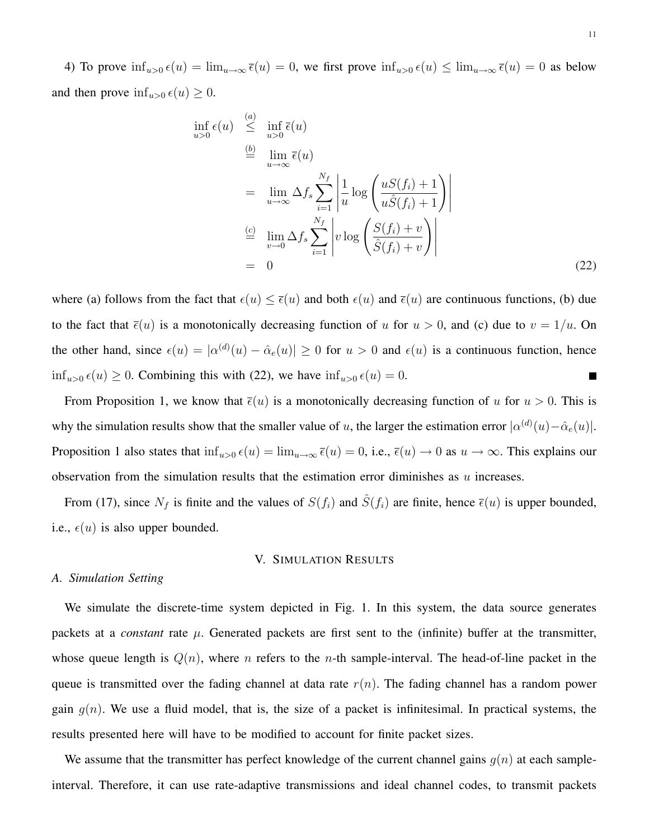4) To prove  $\inf_{u>0} \epsilon(u) = \lim_{u\to\infty} \overline{\epsilon}(u) = 0$ , we first prove  $\inf_{u>0} \epsilon(u) \leq \lim_{u\to\infty} \overline{\epsilon}(u) = 0$  as below and then prove  $\inf_{u>0} \epsilon(u) \geq 0$ .

$$
\inf_{u>0} \epsilon(u) \stackrel{(a)}{\leq} \inf_{u>0} \overline{\epsilon}(u)
$$
\n
$$
\stackrel{(b)}{=} \lim_{u \to \infty} \overline{\epsilon}(u)
$$
\n
$$
= \lim_{u \to \infty} \Delta f_s \sum_{i=1}^{N_f} \left| \frac{1}{u} \log \left( \frac{uS(f_i) + 1}{u\hat{S}(f_i) + 1} \right) \right|
$$
\n
$$
\stackrel{(c)}{=} \lim_{v \to 0} \Delta f_s \sum_{i=1}^{N_f} \left| v \log \left( \frac{S(f_i) + v}{\hat{S}(f_i) + v} \right) \right|
$$
\n
$$
= 0
$$
\n(22)

where (a) follows from the fact that  $\epsilon(u) \leq \bar{\epsilon}(u)$  and both  $\epsilon(u)$  and  $\bar{\epsilon}(u)$  are continuous functions, (b) due to the fact that  $\bar{\epsilon}(u)$  is a monotonically decreasing function of u for  $u > 0$ , and (c) due to  $v = 1/u$ . On the other hand, since  $\epsilon(u) = |\alpha^{(d)}(u) - \hat{\alpha}_e(u)| \ge 0$  for  $u > 0$  and  $\epsilon(u)$  is a continuous function, hence  $\inf_{u>0} \epsilon(u) \ge 0$ . Combining this with (22), we have  $\inf_{u>0} \epsilon(u) = 0$ .

From Proposition 1, we know that  $\bar{\epsilon}(u)$  is a monotonically decreasing function of u for  $u > 0$ . This is why the simulation results show that the smaller value of u, the larger the estimation error  $\vert\alpha^{(d)}(u)-\hat{\alpha}_e(u)\vert$ . Proposition 1 also states that  $\inf_{u>0} \epsilon(u) = \lim_{u \to \infty} \bar{\epsilon}(u) = 0$ , i.e.,  $\bar{\epsilon}(u) \to 0$  as  $u \to \infty$ . This explains our observation from the simulation results that the estimation error diminishes as  $u$  increases.

From (17), since  $N_f$  is finite and the values of  $S(f_i)$  and  $\hat{S}(f_i)$  are finite, hence  $\bar{\epsilon}(u)$  is upper bounded, i.e.,  $\epsilon(u)$  is also upper bounded.

# V. SIMULATION RESULTS

#### *A. Simulation Setting*

We simulate the discrete-time system depicted in Fig. 1. In this system, the data source generates packets at a *constant* rate  $\mu$ . Generated packets are first sent to the (infinite) buffer at the transmitter, whose queue length is  $Q(n)$ , where *n* refers to the *n*-th sample-interval. The head-of-line packet in the queue is transmitted over the fading channel at data rate  $r(n)$ . The fading channel has a random power gain  $g(n)$ . We use a fluid model, that is, the size of a packet is infinitesimal. In practical systems, the results presented here will have to be modified to account for finite packet sizes.

We assume that the transmitter has perfect knowledge of the current channel gains  $g(n)$  at each sampleinterval. Therefore, it can use rate-adaptive transmissions and ideal channel codes, to transmit packets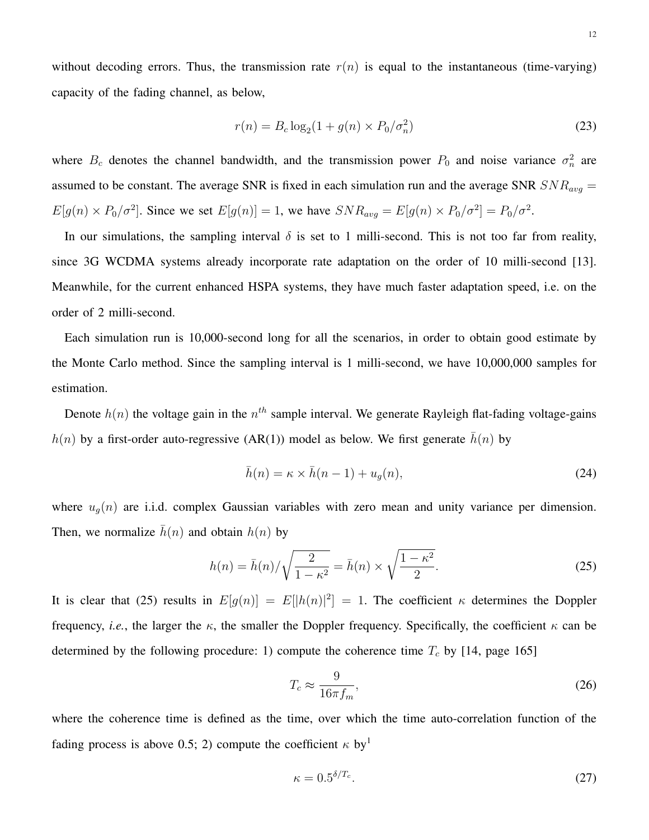without decoding errors. Thus, the transmission rate  $r(n)$  is equal to the instantaneous (time-varying) capacity of the fading channel, as below,

$$
r(n) = B_c \log_2(1 + g(n) \times P_0 / \sigma_n^2)
$$
 (23)

where  $B_c$  denotes the channel bandwidth, and the transmission power  $P_0$  and noise variance  $\sigma_n^2$  are assumed to be constant. The average SNR is fixed in each simulation run and the average SNR  $SNR_{avg}$  =  $E[g(n) \times P_0/\sigma^2]$ . Since we set  $E[g(n)] = 1$ , we have  $SNR_{avg} = E[g(n) \times P_0/\sigma^2] = P_0/\sigma^2$ .

In our simulations, the sampling interval  $\delta$  is set to 1 milli-second. This is not too far from reality, since 3G WCDMA systems already incorporate rate adaptation on the order of 10 milli-second [13]. Meanwhile, for the current enhanced HSPA systems, they have much faster adaptation speed, i.e. on the order of 2 milli-second.

Each simulation run is 10,000-second long for all the scenarios, in order to obtain good estimate by the Monte Carlo method. Since the sampling interval is 1 milli-second, we have 10,000,000 samples for estimation.

Denote  $h(n)$  the voltage gain in the  $n^{th}$  sample interval. We generate Rayleigh flat-fading voltage-gains  $h(n)$  by a first-order auto-regressive (AR(1)) model as below. We first generate  $\bar{h}(n)$  by

$$
\bar{h}(n) = \kappa \times \bar{h}(n-1) + u_g(n),\tag{24}
$$

where  $u_g(n)$  are i.i.d. complex Gaussian variables with zero mean and unity variance per dimension. Then, we normalize  $\bar{h}(n)$  and obtain  $h(n)$  by

$$
h(n) = \bar{h}(n) / \sqrt{\frac{2}{1 - \kappa^2}} = \bar{h}(n) \times \sqrt{\frac{1 - \kappa^2}{2}}.
$$
 (25)

It is clear that (25) results in  $E[g(n)] = E[|h(n)|^2] = 1$ . The coefficient  $\kappa$  determines the Doppler frequency, *i.e.*, the larger the  $\kappa$ , the smaller the Doppler frequency. Specifically, the coefficient  $\kappa$  can be determined by the following procedure: 1) compute the coherence time  $T_c$  by [14, page 165]

$$
T_c \approx \frac{9}{16\pi f_m},\tag{26}
$$

where the coherence time is defined as the time, over which the time auto-correlation function of the fading process is above 0.5; 2) compute the coefficient  $\kappa$  by<sup>1</sup>

$$
\kappa = 0.5^{\delta/T_c}.\tag{27}
$$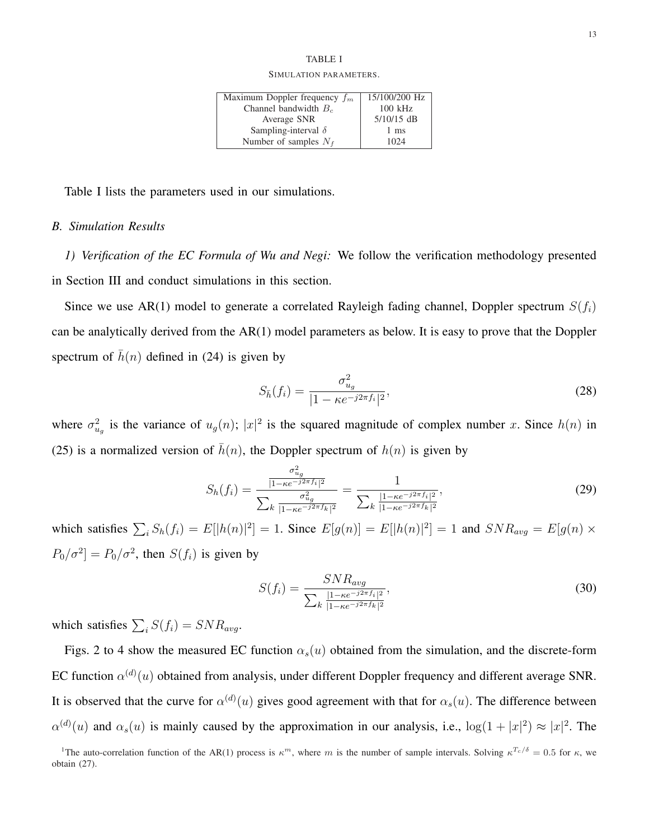### TABLE I SIMULATION PARAMETERS.

| Maximum Doppler frequency $f_m$ | 15/100/200 Hz |
|---------------------------------|---------------|
| Channel bandwidth $B_c$         | $100$ kHz     |
| Average SNR                     | $5/10/15$ dB  |
| Sampling-interval $\delta$      | 1 ms          |
| Number of samples $N_f$         | 1024          |

Table I lists the parameters used in our simulations.

# *B. Simulation Results*

*1) Verification of the EC Formula of Wu and Negi:* We follow the verification methodology presented in Section III and conduct simulations in this section.

Since we use AR(1) model to generate a correlated Rayleigh fading channel, Doppler spectrum  $S(f_i)$ can be analytically derived from the AR(1) model parameters as below. It is easy to prove that the Doppler spectrum of  $\bar{h}(n)$  defined in (24) is given by

$$
S_{\bar{h}}(f_i) = \frac{\sigma_{u_g}^2}{|1 - \kappa e^{-j2\pi f_i}|^2},\tag{28}
$$

where  $\sigma_{u_g}^2$  is the variance of  $u_g(n)$ ;  $|x|^2$  is the squared magnitude of complex number x. Since  $h(n)$  in (25) is a normalized version of  $\bar{h}(n)$ , the Doppler spectrum of  $h(n)$  is given by

$$
S_h(f_i) = \frac{\frac{\sigma_{ug}^2}{|1 - \kappa e^{-j2\pi f_i}|^2}}{\sum_k \frac{\sigma_{ug}^2}{|1 - \kappa e^{-j2\pi f_k}|^2}} = \frac{1}{\sum_k \frac{|1 - \kappa e^{-j2\pi f_i}|^2}{|1 - \kappa e^{-j2\pi f_k}|^2}},
$$
(29)

which satisfies  $\sum_i S_h(f_i) = E[|h(n)|^2] = 1$ . Since  $E[g(n)] = E[|h(n)|^2] = 1$  and  $SNR_{avg} = E[g(n) \times$  $P_0/\sigma^2$  =  $P_0/\sigma^2$ , then  $S(f_i)$  is given by

$$
S(f_i) = \frac{SNR_{avg}}{\sum_{k} \frac{|1 - \kappa e^{-j2\pi f_i}|^2}{|1 - \kappa e^{-j2\pi f_k}|^2}},
$$
\n(30)

which satisfies  $\sum_i S(f_i) = SNR_{avg}$ .

Figs. 2 to 4 show the measured EC function  $\alpha_s(u)$  obtained from the simulation, and the discrete-form EC function  $\alpha^{(d)}(u)$  obtained from analysis, under different Doppler frequency and different average SNR. It is observed that the curve for  $\alpha^{(d)}(u)$  gives good agreement with that for  $\alpha_s(u)$ . The difference between  $\alpha^{(d)}(u)$  and  $\alpha_s(u)$  is mainly caused by the approximation in our analysis, i.e.,  $\log(1+|x|^2) \approx |x|^2$ . The

<sup>&</sup>lt;sup>1</sup>The auto-correlation function of the AR(1) process is  $\kappa^m$ , where m is the number of sample intervals. Solving  $\kappa^{T_c/\delta} = 0.5$  for  $\kappa$ , we obtain (27).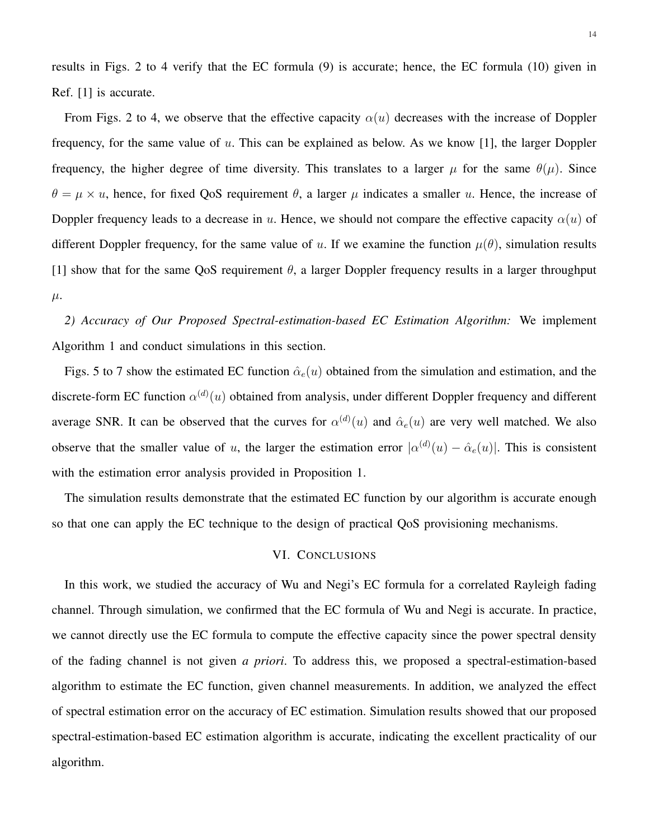results in Figs. 2 to 4 verify that the EC formula (9) is accurate; hence, the EC formula (10) given in Ref. [1] is accurate.

From Figs. 2 to 4, we observe that the effective capacity  $\alpha(u)$  decreases with the increase of Doppler frequency, for the same value of u. This can be explained as below. As we know [1], the larger Doppler frequency, the higher degree of time diversity. This translates to a larger  $\mu$  for the same  $\theta(\mu)$ . Since  $\theta = \mu \times u$ , hence, for fixed QoS requirement  $\theta$ , a larger  $\mu$  indicates a smaller u. Hence, the increase of Doppler frequency leads to a decrease in u. Hence, we should not compare the effective capacity  $\alpha(u)$  of different Doppler frequency, for the same value of u. If we examine the function  $\mu(\theta)$ , simulation results [1] show that for the same QoS requirement  $\theta$ , a larger Doppler frequency results in a larger throughput  $\mu$ .

*2) Accuracy of Our Proposed Spectral-estimation-based EC Estimation Algorithm:* We implement Algorithm 1 and conduct simulations in this section.

Figs. 5 to 7 show the estimated EC function  $\hat{\alpha}_e(u)$  obtained from the simulation and estimation, and the discrete-form EC function  $\alpha^{(d)}(u)$  obtained from analysis, under different Doppler frequency and different average SNR. It can be observed that the curves for  $\alpha^{(d)}(u)$  and  $\hat{\alpha}_e(u)$  are very well matched. We also observe that the smaller value of u, the larger the estimation error  $|\alpha^{(d)}(u) - \hat{\alpha}_e(u)|$ . This is consistent with the estimation error analysis provided in Proposition 1.

The simulation results demonstrate that the estimated EC function by our algorithm is accurate enough so that one can apply the EC technique to the design of practical QoS provisioning mechanisms.

# VI. CONCLUSIONS

In this work, we studied the accuracy of Wu and Negi's EC formula for a correlated Rayleigh fading channel. Through simulation, we confirmed that the EC formula of Wu and Negi is accurate. In practice, we cannot directly use the EC formula to compute the effective capacity since the power spectral density of the fading channel is not given *a priori*. To address this, we proposed a spectral-estimation-based algorithm to estimate the EC function, given channel measurements. In addition, we analyzed the effect of spectral estimation error on the accuracy of EC estimation. Simulation results showed that our proposed spectral-estimation-based EC estimation algorithm is accurate, indicating the excellent practicality of our algorithm.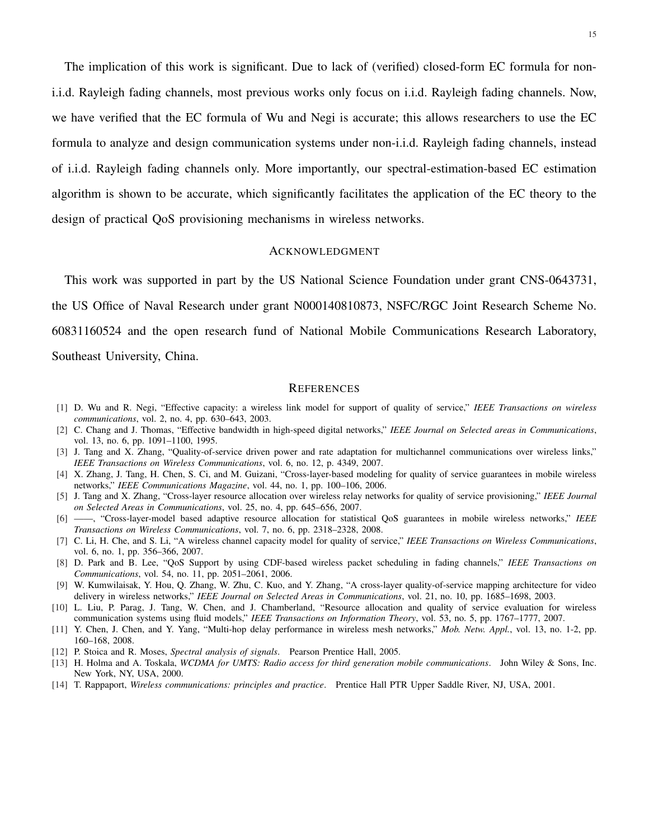The implication of this work is significant. Due to lack of (verified) closed-form EC formula for noni.i.d. Rayleigh fading channels, most previous works only focus on i.i.d. Rayleigh fading channels. Now, we have verified that the EC formula of Wu and Negi is accurate; this allows researchers to use the EC formula to analyze and design communication systems under non-i.i.d. Rayleigh fading channels, instead of i.i.d. Rayleigh fading channels only. More importantly, our spectral-estimation-based EC estimation algorithm is shown to be accurate, which significantly facilitates the application of the EC theory to the design of practical QoS provisioning mechanisms in wireless networks.

#### ACKNOWLEDGMENT

This work was supported in part by the US National Science Foundation under grant CNS-0643731, the US Office of Naval Research under grant N000140810873, NSFC/RGC Joint Research Scheme No. 60831160524 and the open research fund of National Mobile Communications Research Laboratory, Southeast University, China.

#### **REFERENCES**

- [1] D. Wu and R. Negi, "Effective capacity: a wireless link model for support of quality of service," *IEEE Transactions on wireless communications*, vol. 2, no. 4, pp. 630–643, 2003.
- [2] C. Chang and J. Thomas, "Effective bandwidth in high-speed digital networks," *IEEE Journal on Selected areas in Communications*, vol. 13, no. 6, pp. 1091–1100, 1995.
- [3] J. Tang and X. Zhang, "Quality-of-service driven power and rate adaptation for multichannel communications over wireless links," *IEEE Transactions on Wireless Communications*, vol. 6, no. 12, p. 4349, 2007.
- [4] X. Zhang, J. Tang, H. Chen, S. Ci, and M. Guizani, "Cross-layer-based modeling for quality of service guarantees in mobile wireless networks," *IEEE Communications Magazine*, vol. 44, no. 1, pp. 100–106, 2006.
- [5] J. Tang and X. Zhang, "Cross-layer resource allocation over wireless relay networks for quality of service provisioning," *IEEE Journal on Selected Areas in Communications*, vol. 25, no. 4, pp. 645–656, 2007.
- [6] ——, "Cross-layer-model based adaptive resource allocation for statistical QoS guarantees in mobile wireless networks," *IEEE Transactions on Wireless Communications*, vol. 7, no. 6, pp. 2318–2328, 2008.
- [7] C. Li, H. Che, and S. Li, "A wireless channel capacity model for quality of service," *IEEE Transactions on Wireless Communications*, vol. 6, no. 1, pp. 356–366, 2007.
- [8] D. Park and B. Lee, "QoS Support by using CDF-based wireless packet scheduling in fading channels," *IEEE Transactions on Communications*, vol. 54, no. 11, pp. 2051–2061, 2006.
- [9] W. Kumwilaisak, Y. Hou, Q. Zhang, W. Zhu, C. Kuo, and Y. Zhang, "A cross-layer quality-of-service mapping architecture for video delivery in wireless networks," *IEEE Journal on Selected Areas in Communications*, vol. 21, no. 10, pp. 1685–1698, 2003.
- [10] L. Liu, P. Parag, J. Tang, W. Chen, and J. Chamberland, "Resource allocation and quality of service evaluation for wireless communication systems using fluid models," *IEEE Transactions on Information Theory*, vol. 53, no. 5, pp. 1767–1777, 2007.
- [11] Y. Chen, J. Chen, and Y. Yang, "Multi-hop delay performance in wireless mesh networks," *Mob. Netw. Appl.*, vol. 13, no. 1-2, pp. 160–168, 2008.
- [12] P. Stoica and R. Moses, *Spectral analysis of signals*. Pearson Prentice Hall, 2005.
- [13] H. Holma and A. Toskala, *WCDMA for UMTS: Radio access for third generation mobile communications*. John Wiley & Sons, Inc. New York, NY, USA, 2000.
- [14] T. Rappaport, *Wireless communications: principles and practice*. Prentice Hall PTR Upper Saddle River, NJ, USA, 2001.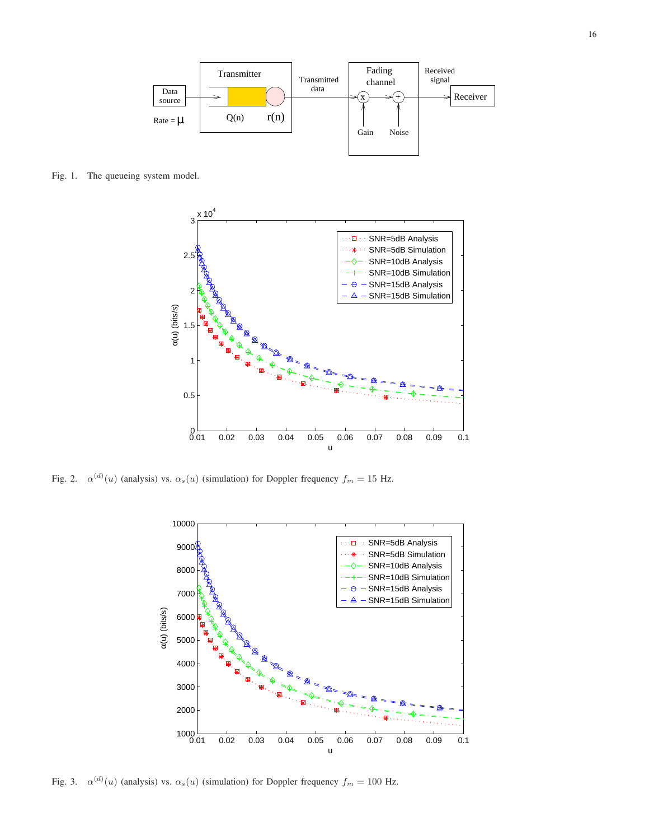

Fig. 1. The queueing system model.



Fig. 2.  $\alpha^{(d)}(u)$  (analysis) vs.  $\alpha_s(u)$  (simulation) for Doppler frequency  $f_m = 15$  Hz.



Fig. 3.  $\alpha^{(d)}(u)$  (analysis) vs.  $\alpha_s(u)$  (simulation) for Doppler frequency  $f_m = 100$  Hz.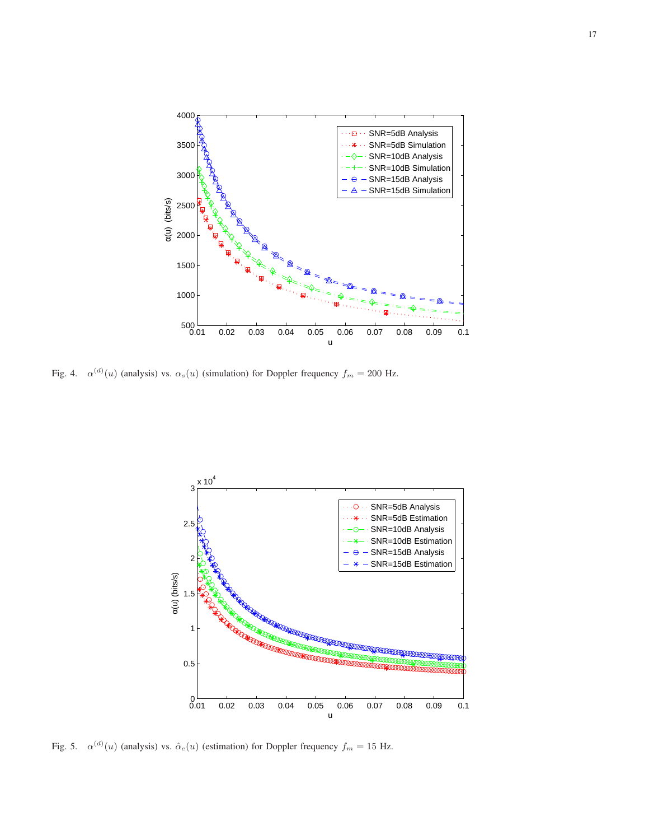

Fig. 4.  $\alpha^{(d)}(u)$  (analysis) vs.  $\alpha_s(u)$  (simulation) for Doppler frequency  $f_m = 200$  Hz.



Fig. 5.  $\alpha^{(d)}(u)$  (analysis) vs.  $\hat{\alpha}_e(u)$  (estimation) for Doppler frequency  $f_m = 15$  Hz.